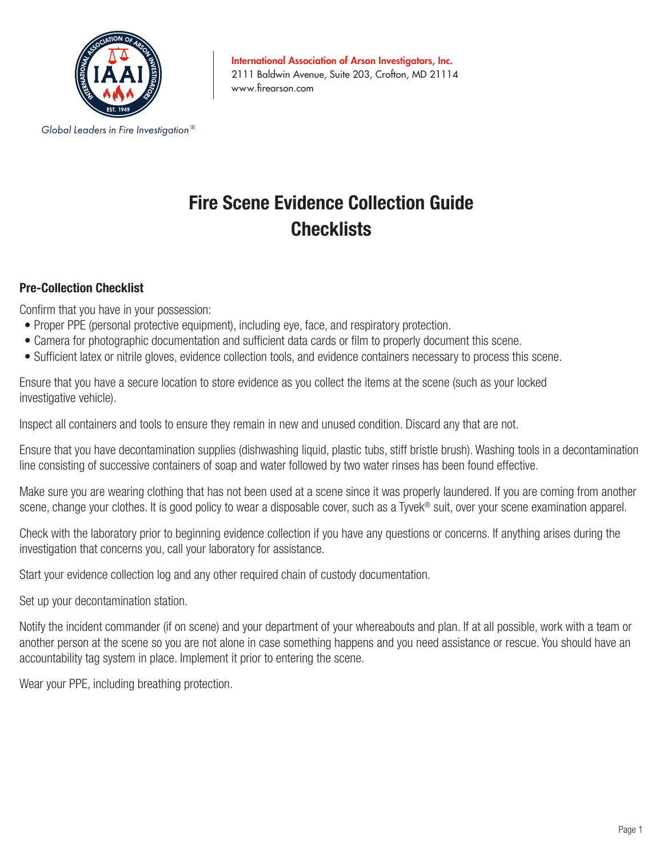

International Association of Arson Investigators, Inc. 2111 Baldwin Avenue, Suite 203, Crofton, MD 21114 www.firearson.com

#### *Global Leaders in Fire Investigation ®*

# **Fire Scene Evidence Collection Guide Checklists**

### **Pre-Collection Checklist**

Confirm that you have in your possession:

- Proper PPE (personal protective equipment), including eye, face, and respiratory protection.
- Camera for photographic documentation and sufficient data cards or film to properly document this scene.
- Sufficient latex or nitrile gloves, evidence collection tools, and evidence containers necessary to process this scene.

Ensure that you have a secure location to store evidence as you collect the items at the scene (such as your locked investigative vehicle).

Inspect all containers and tools to ensure they remain in new and unused condition. Discard any that are not.

Ensure that you have decontamination supplies (dishwashing liquid, plastic tubs, stiff bristle brush). Washing tools in a decontamination line consisting of successive containers of soap and water followed by two water rinses has been found effective.

Make sure you are wearing clothing that has not been used at a scene since it was properly laundered. If you are coming from another scene, change your clothes. It is good policy to wear a disposable cover, such as a Tyvek® suit, over your scene examination apparel.

Check with the laboratory prior to beginning evidence collection if you have any questions or concerns. If anything arises during the investigation that concerns you, call your laboratory for assistance.

Start your evidence collection log and any other required chain of custody documentation.

Set up your decontamination station.

Notify the incident commander (if on scene) and your department of your whereabouts and plan. If at all possible, work with a team or another person at the scene so you are not alone in case something happens and you need assistance or rescue. You should have an accountability tag system in place. Implement it prior to entering the scene.

Wear your PPE, including breathing protection.